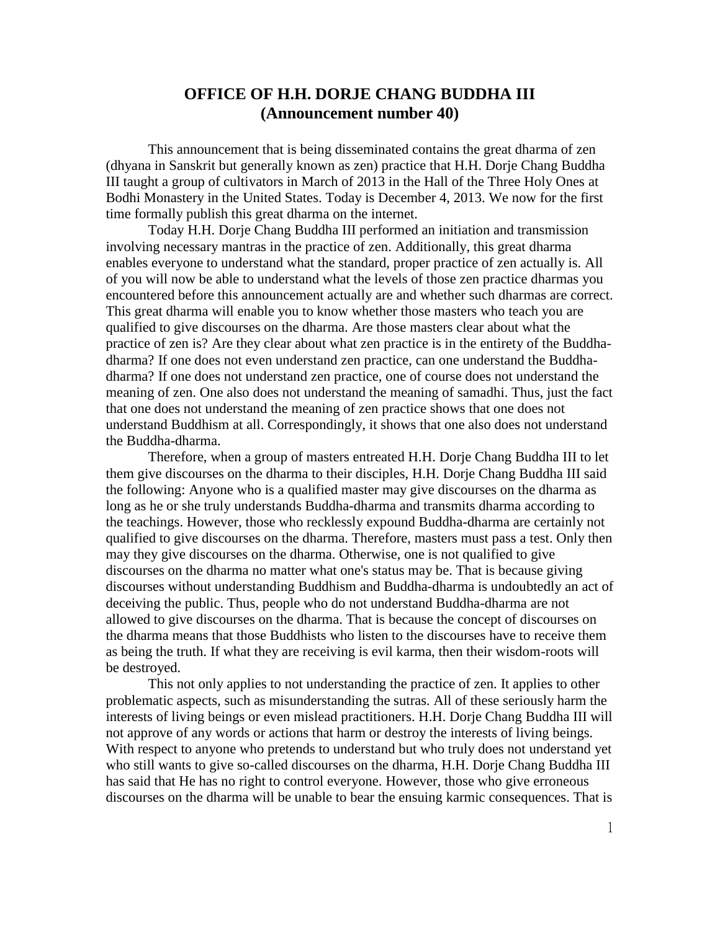## **OFFICE OF H.H. DORJE CHANG BUDDHA III (Announcement number 40)**

This announcement that is being disseminated contains the great dharma of zen (dhyana in Sanskrit but generally known as zen) practice that H.H. Dorje Chang Buddha III taught a group of cultivators in March of 2013 in the Hall of the Three Holy Ones at Bodhi Monastery in the United States. Today is December 4, 2013. We now for the first time formally publish this great dharma on the internet.

Today H.H. Dorje Chang Buddha III performed an initiation and transmission involving necessary mantras in the practice of zen. Additionally, this great dharma enables everyone to understand what the standard, proper practice of zen actually is. All of you will now be able to understand what the levels of those zen practice dharmas you encountered before this announcement actually are and whether such dharmas are correct. This great dharma will enable you to know whether those masters who teach you are qualified to give discourses on the dharma. Are those masters clear about what the practice of zen is? Are they clear about what zen practice is in the entirety of the Buddhadharma? If one does not even understand zen practice, can one understand the Buddhadharma? If one does not understand zen practice, one of course does not understand the meaning of zen. One also does not understand the meaning of samadhi. Thus, just the fact that one does not understand the meaning of zen practice shows that one does not understand Buddhism at all. Correspondingly, it shows that one also does not understand the Buddha-dharma.

Therefore, when a group of masters entreated H.H. Dorje Chang Buddha III to let them give discourses on the dharma to their disciples, H.H. Dorje Chang Buddha III said the following: Anyone who is a qualified master may give discourses on the dharma as long as he or she truly understands Buddha-dharma and transmits dharma according to the teachings. However, those who recklessly expound Buddha-dharma are certainly not qualified to give discourses on the dharma. Therefore, masters must pass a test. Only then may they give discourses on the dharma. Otherwise, one is not qualified to give discourses on the dharma no matter what one's status may be. That is because giving discourses without understanding Buddhism and Buddha-dharma is undoubtedly an act of deceiving the public. Thus, people who do not understand Buddha-dharma are not allowed to give discourses on the dharma. That is because the concept of discourses on the dharma means that those Buddhists who listen to the discourses have to receive them as being the truth. If what they are receiving is evil karma, then their wisdom-roots will be destroyed.

This not only applies to not understanding the practice of zen. It applies to other problematic aspects, such as misunderstanding the sutras. All of these seriously harm the interests of living beings or even mislead practitioners. H.H. Dorje Chang Buddha III will not approve of any words or actions that harm or destroy the interests of living beings. With respect to anyone who pretends to understand but who truly does not understand yet who still wants to give so-called discourses on the dharma, H.H. Dorje Chang Buddha III has said that He has no right to control everyone. However, those who give erroneous discourses on the dharma will be unable to bear the ensuing karmic consequences. That is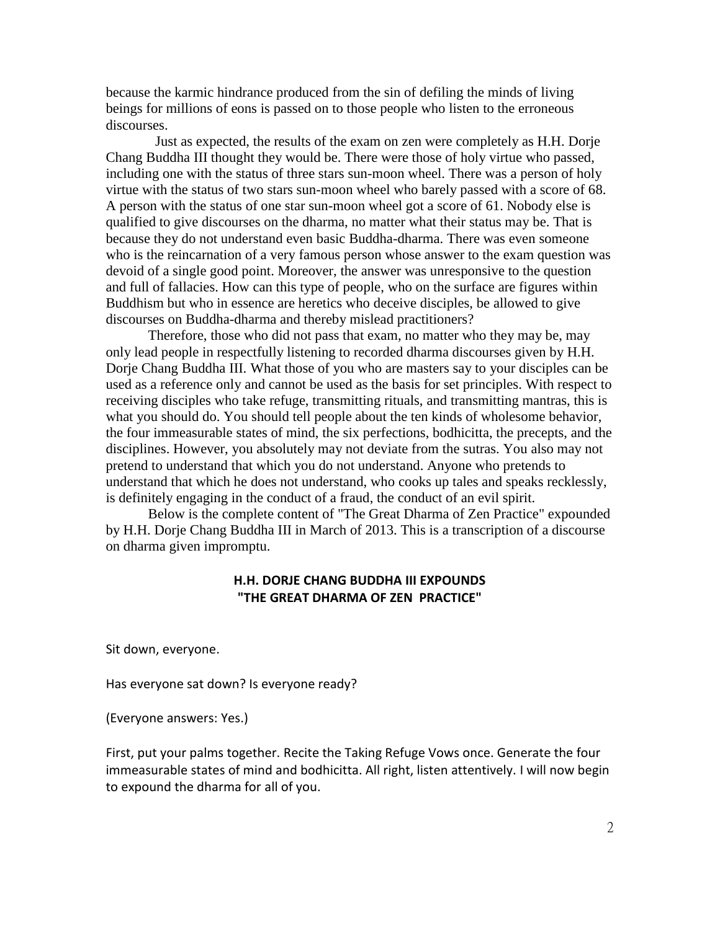because the karmic hindrance produced from the sin of defiling the minds of living beings for millions of eons is passed on to those people who listen to the erroneous discourses.

Just as expected, the results of the exam on zen were completely as H.H. Dorje Chang Buddha III thought they would be. There were those of holy virtue who passed, including one with the status of three stars sun-moon wheel. There was a person of holy virtue with the status of two stars sun-moon wheel who barely passed with a score of 68. A person with the status of one star sun-moon wheel got a score of 61. Nobody else is qualified to give discourses on the dharma, no matter what their status may be. That is because they do not understand even basic Buddha-dharma. There was even someone who is the reincarnation of a very famous person whose answer to the exam question was devoid of a single good point. Moreover, the answer was unresponsive to the question and full of fallacies. How can this type of people, who on the surface are figures within Buddhism but who in essence are heretics who deceive disciples, be allowed to give discourses on Buddha-dharma and thereby mislead practitioners?

Therefore, those who did not pass that exam, no matter who they may be, may only lead people in respectfully listening to recorded dharma discourses given by H.H. Dorje Chang Buddha III. What those of you who are masters say to your disciples can be used as a reference only and cannot be used as the basis for set principles. With respect to receiving disciples who take refuge, transmitting rituals, and transmitting mantras, this is what you should do. You should tell people about the ten kinds of wholesome behavior, the four immeasurable states of mind, the six perfections, bodhicitta, the precepts, and the disciplines. However, you absolutely may not deviate from the sutras. You also may not pretend to understand that which you do not understand. Anyone who pretends to understand that which he does not understand, who cooks up tales and speaks recklessly, is definitely engaging in the conduct of a fraud, the conduct of an evil spirit.

Below is the complete content of "The Great Dharma of Zen Practice" expounded by H.H. Dorje Chang Buddha III in March of 2013. This is a transcription of a discourse on dharma given impromptu.

## **H.H. DORJE CHANG BUDDHA III EXPOUNDS "THE GREAT DHARMA OF ZEN PRACTICE"**

Sit down, everyone.

Has everyone sat down? Is everyone ready?

(Everyone answers: Yes.)

First, put your palms together. Recite the Taking Refuge Vows once. Generate the four immeasurable states of mind and bodhicitta. All right, listen attentively. I will now begin to expound the dharma for all of you.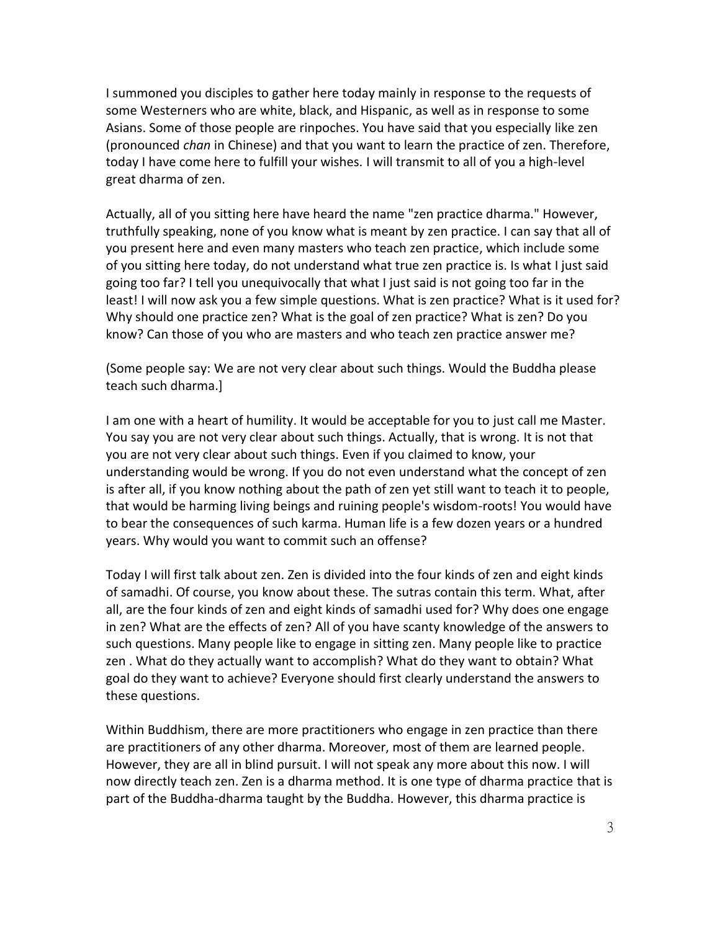I summoned you disciples to gather here today mainly in response to the requests of some Westerners who are white, black, and Hispanic, as well as in response to some Asians. Some of those people are rinpoches. You have said that you especially like zen (pronounced *chan* in Chinese) and that you want to learn the practice of zen. Therefore, today I have come here to fulfill your wishes. I will transmit to all of you a high-level great dharma of zen.

Actually, all of you sitting here have heard the name "zen practice dharma." However, truthfully speaking, none of you know what is meant by zen practice. I can say that all of you present here and even many masters who teach zen practice, which include some of you sitting here today, do not understand what true zen practice is. Is what I just said going too far? I tell you unequivocally that what I just said is not going too far in the least! I will now ask you a few simple questions. What is zen practice? What is it used for? Why should one practice zen? What is the goal of zen practice? What is zen? Do you know? Can those of you who are masters and who teach zen practice answer me?

(Some people say: We are not very clear about such things. Would the Buddha please teach such dharma.]

I am one with a heart of humility. It would be acceptable for you to just call me Master. You say you are not very clear about such things. Actually, that is wrong. It is not that you are not very clear about such things. Even if you claimed to know, your understanding would be wrong. If you do not even understand what the concept of zen is after all, if you know nothing about the path of zen yet still want to teach it to people, that would be harming living beings and ruining people's wisdom-roots! You would have to bear the consequences of such karma. Human life is a few dozen years or a hundred years. Why would you want to commit such an offense?

Today I will first talk about zen. Zen is divided into the four kinds of zen and eight kinds of samadhi. Of course, you know about these. The sutras contain this term. What, after all, are the four kinds of zen and eight kinds of samadhi used for? Why does one engage in zen? What are the effects of zen? All of you have scanty knowledge of the answers to such questions. Many people like to engage in sitting zen. Many people like to practice zen . What do they actually want to accomplish? What do they want to obtain? What goal do they want to achieve? Everyone should first clearly understand the answers to these questions.

Within Buddhism, there are more practitioners who engage in zen practice than there are practitioners of any other dharma. Moreover, most of them are learned people. However, they are all in blind pursuit. I will not speak any more about this now. I will now directly teach zen. Zen is a dharma method. It is one type of dharma practice that is part of the Buddha-dharma taught by the Buddha. However, this dharma practice is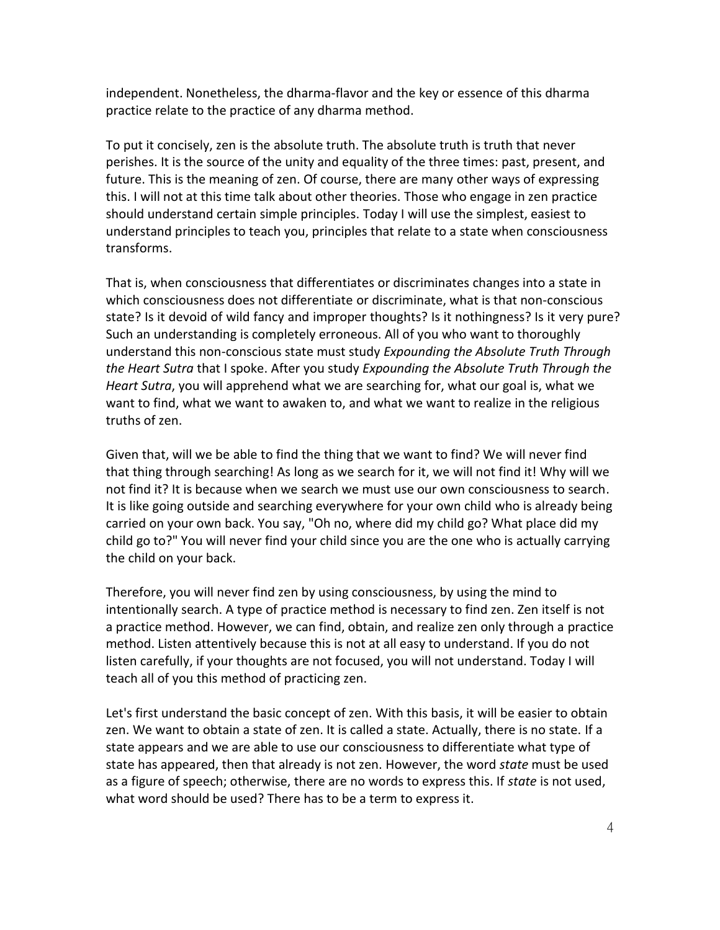independent. Nonetheless, the dharma-flavor and the key or essence of this dharma practice relate to the practice of any dharma method.

To put it concisely, zen is the absolute truth. The absolute truth is truth that never perishes. It is the source of the unity and equality of the three times: past, present, and future. This is the meaning of zen. Of course, there are many other ways of expressing this. I will not at this time talk about other theories. Those who engage in zen practice should understand certain simple principles. Today I will use the simplest, easiest to understand principles to teach you, principles that relate to a state when consciousness transforms.

That is, when consciousness that differentiates or discriminates changes into a state in which consciousness does not differentiate or discriminate, what is that non-conscious state? Is it devoid of wild fancy and improper thoughts? Is it nothingness? Is it very pure? Such an understanding is completely erroneous. All of you who want to thoroughly understand this non-conscious state must study *Expounding the Absolute Truth Through the Heart Sutra* that I spoke. After you study *Expounding the Absolute Truth Through the Heart Sutra*, you will apprehend what we are searching for, what our goal is, what we want to find, what we want to awaken to, and what we want to realize in the religious truths of zen.

Given that, will we be able to find the thing that we want to find? We will never find that thing through searching! As long as we search for it, we will not find it! Why will we not find it? It is because when we search we must use our own consciousness to search. It is like going outside and searching everywhere for your own child who is already being carried on your own back. You say, "Oh no, where did my child go? What place did my child go to?" You will never find your child since you are the one who is actually carrying the child on your back.

Therefore, you will never find zen by using consciousness, by using the mind to intentionally search. A type of practice method is necessary to find zen. Zen itself is not a practice method. However, we can find, obtain, and realize zen only through a practice method. Listen attentively because this is not at all easy to understand. If you do not listen carefully, if your thoughts are not focused, you will not understand. Today I will teach all of you this method of practicing zen.

Let's first understand the basic concept of zen. With this basis, it will be easier to obtain zen. We want to obtain a state of zen. It is called a state. Actually, there is no state. If a state appears and we are able to use our consciousness to differentiate what type of state has appeared, then that already is not zen. However, the word *state* must be used as a figure of speech; otherwise, there are no words to express this. If *state* is not used, what word should be used? There has to be a term to express it.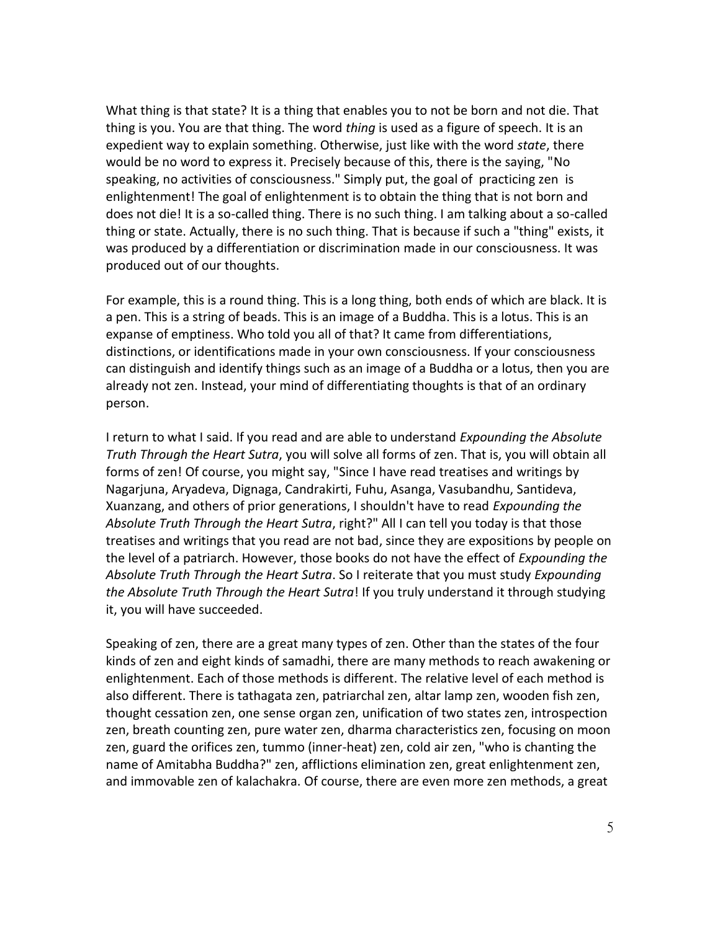What thing is that state? It is a thing that enables you to not be born and not die. That thing is you. You are that thing. The word *thing* is used as a figure of speech. It is an expedient way to explain something. Otherwise, just like with the word *state*, there would be no word to express it. Precisely because of this, there is the saying, "No speaking, no activities of consciousness." Simply put, the goal of practicing zen is enlightenment! The goal of enlightenment is to obtain the thing that is not born and does not die! It is a so-called thing. There is no such thing. I am talking about a so-called thing or state. Actually, there is no such thing. That is because if such a "thing" exists, it was produced by a differentiation or discrimination made in our consciousness. It was produced out of our thoughts.

For example, this is a round thing. This is a long thing, both ends of which are black. It is a pen. This is a string of beads. This is an image of a Buddha. This is a lotus. This is an expanse of emptiness. Who told you all of that? It came from differentiations, distinctions, or identifications made in your own consciousness. If your consciousness can distinguish and identify things such as an image of a Buddha or a lotus, then you are already not zen. Instead, your mind of differentiating thoughts is that of an ordinary person.

I return to what I said. If you read and are able to understand *Expounding the Absolute Truth Through the Heart Sutra*, you will solve all forms of zen. That is, you will obtain all forms of zen! Of course, you might say, "Since I have read treatises and writings by Nagarjuna, Aryadeva, Dignaga, Candrakirti, Fuhu, Asanga, Vasubandhu, Santideva, Xuanzang, and others of prior generations, I shouldn't have to read *Expounding the Absolute Truth Through the Heart Sutra*, right?" All I can tell you today is that those treatises and writings that you read are not bad, since they are expositions by people on the level of a patriarch. However, those books do not have the effect of *Expounding the Absolute Truth Through the Heart Sutra*. So I reiterate that you must study *Expounding the Absolute Truth Through the Heart Sutra*! If you truly understand it through studying it, you will have succeeded.

Speaking of zen, there are a great many types of zen. Other than the states of the four kinds of zen and eight kinds of samadhi, there are many methods to reach awakening or enlightenment. Each of those methods is different. The relative level of each method is also different. There is tathagata zen, patriarchal zen, altar lamp zen, wooden fish zen, thought cessation zen, one sense organ zen, unification of two states zen, introspection zen, breath counting zen, pure water zen, dharma characteristics zen, focusing on moon zen, guard the orifices zen, tummo (inner-heat) zen, cold air zen, "who is chanting the name of Amitabha Buddha?" zen, afflictions elimination zen, great enlightenment zen, and immovable zen of kalachakra. Of course, there are even more zen methods, a great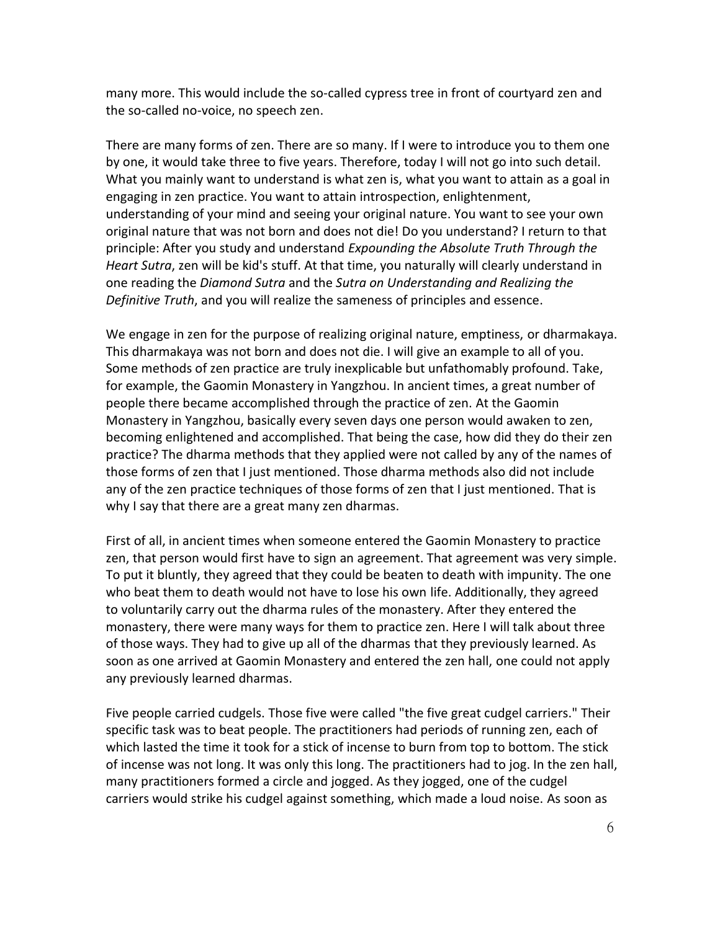many more. This would include the so-called cypress tree in front of courtyard zen and the so-called no-voice, no speech zen.

There are many forms of zen. There are so many. If I were to introduce you to them one by one, it would take three to five years. Therefore, today I will not go into such detail. What you mainly want to understand is what zen is, what you want to attain as a goal in engaging in zen practice. You want to attain introspection, enlightenment, understanding of your mind and seeing your original nature. You want to see your own original nature that was not born and does not die! Do you understand? I return to that principle: After you study and understand *Expounding the Absolute Truth Through the Heart Sutra*, zen will be kid's stuff. At that time, you naturally will clearly understand in one reading the *Diamond Sutra* and the *Sutra on Understanding and Realizing the Definitive Truth*, and you will realize the sameness of principles and essence.

We engage in zen for the purpose of realizing original nature, emptiness, or dharmakaya. This dharmakaya was not born and does not die. I will give an example to all of you. Some methods of zen practice are truly inexplicable but unfathomably profound. Take, for example, the Gaomin Monastery in Yangzhou. In ancient times, a great number of people there became accomplished through the practice of zen. At the Gaomin Monastery in Yangzhou, basically every seven days one person would awaken to zen, becoming enlightened and accomplished. That being the case, how did they do their zen practice? The dharma methods that they applied were not called by any of the names of those forms of zen that I just mentioned. Those dharma methods also did not include any of the zen practice techniques of those forms of zen that I just mentioned. That is why I say that there are a great many zen dharmas.

First of all, in ancient times when someone entered the Gaomin Monastery to practice zen, that person would first have to sign an agreement. That agreement was very simple. To put it bluntly, they agreed that they could be beaten to death with impunity. The one who beat them to death would not have to lose his own life. Additionally, they agreed to voluntarily carry out the dharma rules of the monastery. After they entered the monastery, there were many ways for them to practice zen. Here I will talk about three of those ways. They had to give up all of the dharmas that they previously learned. As soon as one arrived at Gaomin Monastery and entered the zen hall, one could not apply any previously learned dharmas.

Five people carried cudgels. Those five were called "the five great cudgel carriers." Their specific task was to beat people. The practitioners had periods of running zen, each of which lasted the time it took for a stick of incense to burn from top to bottom. The stick of incense was not long. It was only this long. The practitioners had to jog. In the zen hall, many practitioners formed a circle and jogged. As they jogged, one of the cudgel carriers would strike his cudgel against something, which made a loud noise. As soon as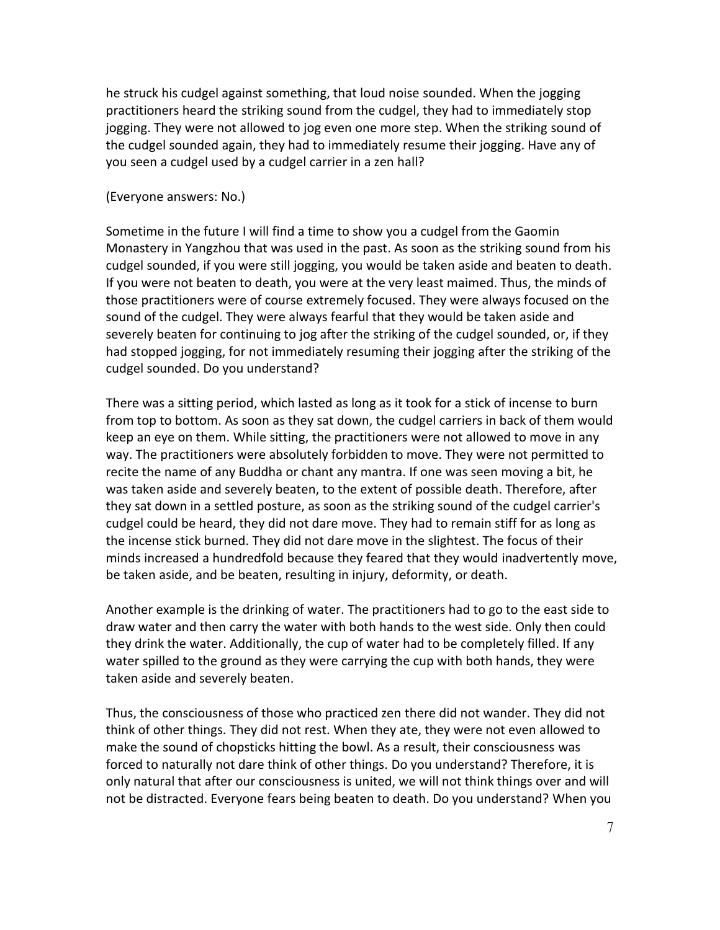he struck his cudgel against something, that loud noise sounded. When the jogging practitioners heard the striking sound from the cudgel, they had to immediately stop jogging. They were not allowed to jog even one more step. When the striking sound of the cudgel sounded again, they had to immediately resume their jogging. Have any of you seen a cudgel used by a cudgel carrier in a zen hall?

## (Everyone answers: No.)

Sometime in the future I will find a time to show you a cudgel from the Gaomin Monastery in Yangzhou that was used in the past. As soon as the striking sound from his cudgel sounded, if you were still jogging, you would be taken aside and beaten to death. If you were not beaten to death, you were at the very least maimed. Thus, the minds of those practitioners were of course extremely focused. They were always focused on the sound of the cudgel. They were always fearful that they would be taken aside and severely beaten for continuing to jog after the striking of the cudgel sounded, or, if they had stopped jogging, for not immediately resuming their jogging after the striking of the cudgel sounded. Do you understand?

There was a sitting period, which lasted as long as it took for a stick of incense to burn from top to bottom. As soon as they sat down, the cudgel carriers in back of them would keep an eye on them. While sitting, the practitioners were not allowed to move in any way. The practitioners were absolutely forbidden to move. They were not permitted to recite the name of any Buddha or chant any mantra. If one was seen moving a bit, he was taken aside and severely beaten, to the extent of possible death. Therefore, after they sat down in a settled posture, as soon as the striking sound of the cudgel carrier's cudgel could be heard, they did not dare move. They had to remain stiff for as long as the incense stick burned. They did not dare move in the slightest. The focus of their minds increased a hundredfold because they feared that they would inadvertently move, be taken aside, and be beaten, resulting in injury, deformity, or death.

Another example is the drinking of water. The practitioners had to go to the east side to draw water and then carry the water with both hands to the west side. Only then could they drink the water. Additionally, the cup of water had to be completely filled. If any water spilled to the ground as they were carrying the cup with both hands, they were taken aside and severely beaten.

Thus, the consciousness of those who practiced zen there did not wander. They did not think of other things. They did not rest. When they ate, they were not even allowed to make the sound of chopsticks hitting the bowl. As a result, their consciousness was forced to naturally not dare think of other things. Do you understand? Therefore, it is only natural that after our consciousness is united, we will not think things over and will not be distracted. Everyone fears being beaten to death. Do you understand? When you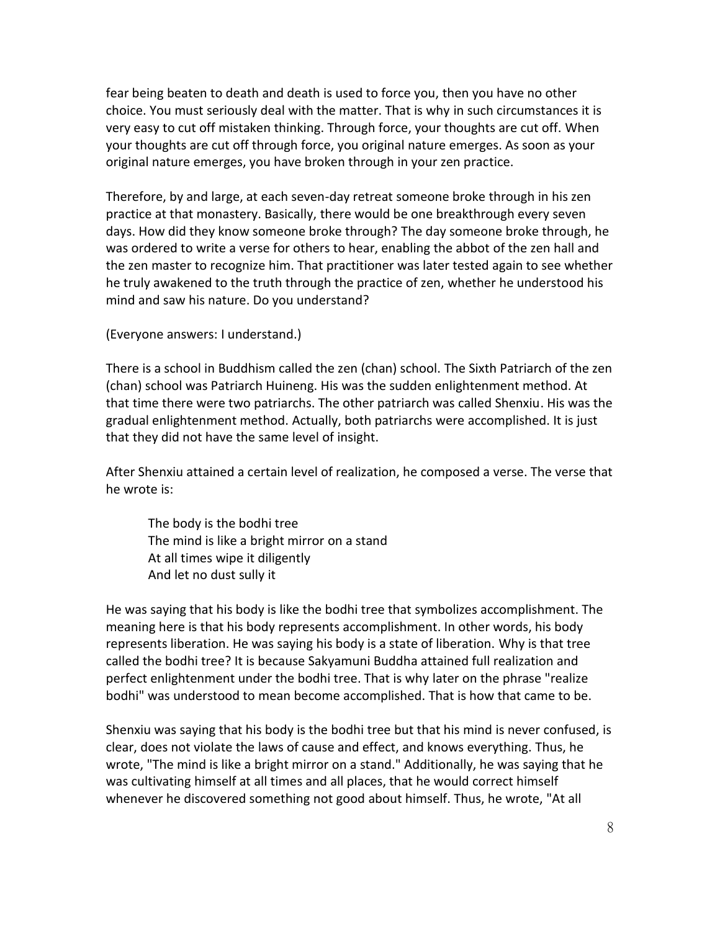fear being beaten to death and death is used to force you, then you have no other choice. You must seriously deal with the matter. That is why in such circumstances it is very easy to cut off mistaken thinking. Through force, your thoughts are cut off. When your thoughts are cut off through force, you original nature emerges. As soon as your original nature emerges, you have broken through in your zen practice.

Therefore, by and large, at each seven-day retreat someone broke through in his zen practice at that monastery. Basically, there would be one breakthrough every seven days. How did they know someone broke through? The day someone broke through, he was ordered to write a verse for others to hear, enabling the abbot of the zen hall and the zen master to recognize him. That practitioner was later tested again to see whether he truly awakened to the truth through the practice of zen, whether he understood his mind and saw his nature. Do you understand?

(Everyone answers: I understand.)

There is a school in Buddhism called the zen (chan) school. The Sixth Patriarch of the zen (chan) school was Patriarch Huineng. His was the sudden enlightenment method. At that time there were two patriarchs. The other patriarch was called Shenxiu. His was the gradual enlightenment method. Actually, both patriarchs were accomplished. It is just that they did not have the same level of insight.

After Shenxiu attained a certain level of realization, he composed a verse. The verse that he wrote is:

The body is the bodhi tree The mind is like a bright mirror on a stand At all times wipe it diligently And let no dust sully it

He was saying that his body is like the bodhi tree that symbolizes accomplishment. The meaning here is that his body represents accomplishment. In other words, his body represents liberation. He was saying his body is a state of liberation. Why is that tree called the bodhi tree? It is because Sakyamuni Buddha attained full realization and perfect enlightenment under the bodhi tree. That is why later on the phrase "realize bodhi" was understood to mean become accomplished. That is how that came to be.

Shenxiu was saying that his body is the bodhi tree but that his mind is never confused, is clear, does not violate the laws of cause and effect, and knows everything. Thus, he wrote, "The mind is like a bright mirror on a stand." Additionally, he was saying that he was cultivating himself at all times and all places, that he would correct himself whenever he discovered something not good about himself. Thus, he wrote, "At all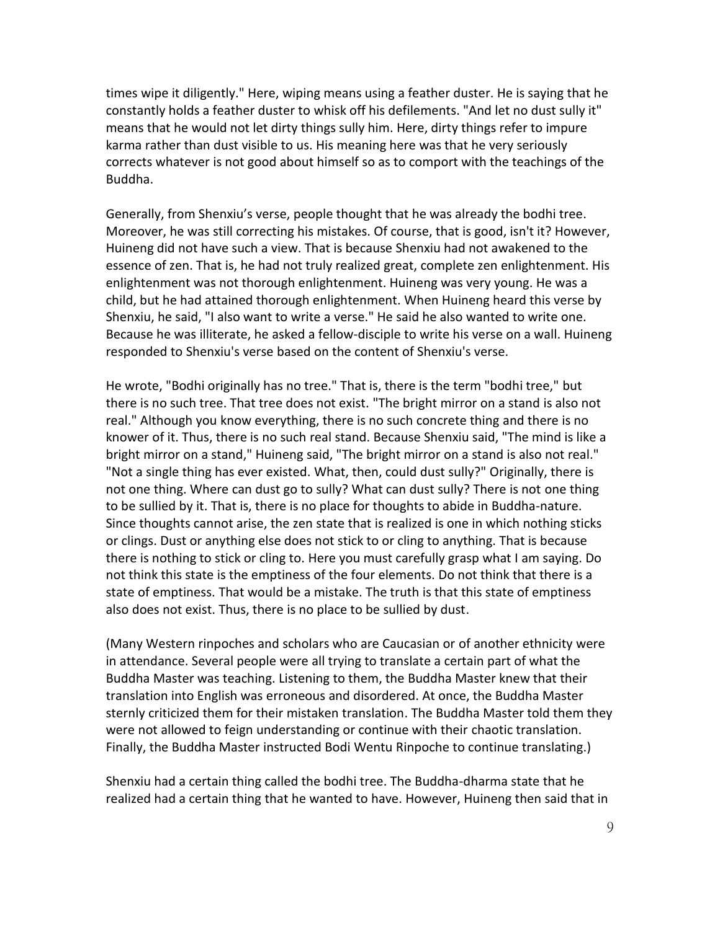times wipe it diligently." Here, wiping means using a feather duster. He is saying that he constantly holds a feather duster to whisk off his defilements. "And let no dust sully it" means that he would not let dirty things sully him. Here, dirty things refer to impure karma rather than dust visible to us. His meaning here was that he very seriously corrects whatever is not good about himself so as to comport with the teachings of the Buddha.

Generally, from Shenxiu's verse, people thought that he was already the bodhi tree. Moreover, he was still correcting his mistakes. Of course, that is good, isn't it? However, Huineng did not have such a view. That is because Shenxiu had not awakened to the essence of zen. That is, he had not truly realized great, complete zen enlightenment. His enlightenment was not thorough enlightenment. Huineng was very young. He was a child, but he had attained thorough enlightenment. When Huineng heard this verse by Shenxiu, he said, "I also want to write a verse." He said he also wanted to write one. Because he was illiterate, he asked a fellow-disciple to write his verse on a wall. Huineng responded to Shenxiu's verse based on the content of Shenxiu's verse.

He wrote, "Bodhi originally has no tree." That is, there is the term "bodhi tree," but there is no such tree. That tree does not exist. "The bright mirror on a stand is also not real." Although you know everything, there is no such concrete thing and there is no knower of it. Thus, there is no such real stand. Because Shenxiu said, "The mind is like a bright mirror on a stand," Huineng said, "The bright mirror on a stand is also not real." "Not a single thing has ever existed. What, then, could dust sully?" Originally, there is not one thing. Where can dust go to sully? What can dust sully? There is not one thing to be sullied by it. That is, there is no place for thoughts to abide in Buddha-nature. Since thoughts cannot arise, the zen state that is realized is one in which nothing sticks or clings. Dust or anything else does not stick to or cling to anything. That is because there is nothing to stick or cling to. Here you must carefully grasp what I am saying. Do not think this state is the emptiness of the four elements. Do not think that there is a state of emptiness. That would be a mistake. The truth is that this state of emptiness also does not exist. Thus, there is no place to be sullied by dust.

(Many Western rinpoches and scholars who are Caucasian or of another ethnicity were in attendance. Several people were all trying to translate a certain part of what the Buddha Master was teaching. Listening to them, the Buddha Master knew that their translation into English was erroneous and disordered. At once, the Buddha Master sternly criticized them for their mistaken translation. The Buddha Master told them they were not allowed to feign understanding or continue with their chaotic translation. Finally, the Buddha Master instructed Bodi Wentu Rinpoche to continue translating.)

Shenxiu had a certain thing called the bodhi tree. The Buddha-dharma state that he realized had a certain thing that he wanted to have. However, Huineng then said that in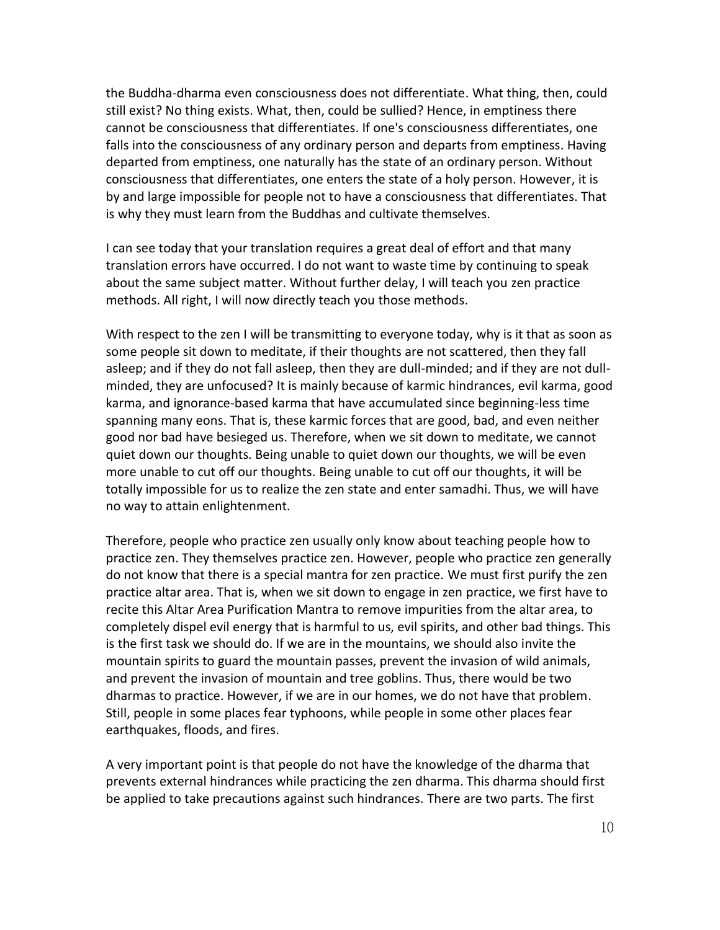the Buddha-dharma even consciousness does not differentiate. What thing, then, could still exist? No thing exists. What, then, could be sullied? Hence, in emptiness there cannot be consciousness that differentiates. If one's consciousness differentiates, one falls into the consciousness of any ordinary person and departs from emptiness. Having departed from emptiness, one naturally has the state of an ordinary person. Without consciousness that differentiates, one enters the state of a holy person. However, it is by and large impossible for people not to have a consciousness that differentiates. That is why they must learn from the Buddhas and cultivate themselves.

I can see today that your translation requires a great deal of effort and that many translation errors have occurred. I do not want to waste time by continuing to speak about the same subject matter. Without further delay, I will teach you zen practice methods. All right, I will now directly teach you those methods.

With respect to the zen I will be transmitting to everyone today, why is it that as soon as some people sit down to meditate, if their thoughts are not scattered, then they fall asleep; and if they do not fall asleep, then they are dull-minded; and if they are not dullminded, they are unfocused? It is mainly because of karmic hindrances, evil karma, good karma, and ignorance-based karma that have accumulated since beginning-less time spanning many eons. That is, these karmic forces that are good, bad, and even neither good nor bad have besieged us. Therefore, when we sit down to meditate, we cannot quiet down our thoughts. Being unable to quiet down our thoughts, we will be even more unable to cut off our thoughts. Being unable to cut off our thoughts, it will be totally impossible for us to realize the zen state and enter samadhi. Thus, we will have no way to attain enlightenment.

Therefore, people who practice zen usually only know about teaching people how to practice zen. They themselves practice zen. However, people who practice zen generally do not know that there is a special mantra for zen practice. We must first purify the zen practice altar area. That is, when we sit down to engage in zen practice, we first have to recite this Altar Area Purification Mantra to remove impurities from the altar area, to completely dispel evil energy that is harmful to us, evil spirits, and other bad things. This is the first task we should do. If we are in the mountains, we should also invite the mountain spirits to guard the mountain passes, prevent the invasion of wild animals, and prevent the invasion of mountain and tree goblins. Thus, there would be two dharmas to practice. However, if we are in our homes, we do not have that problem. Still, people in some places fear typhoons, while people in some other places fear earthquakes, floods, and fires.

A very important point is that people do not have the knowledge of the dharma that prevents external hindrances while practicing the zen dharma. This dharma should first be applied to take precautions against such hindrances. There are two parts. The first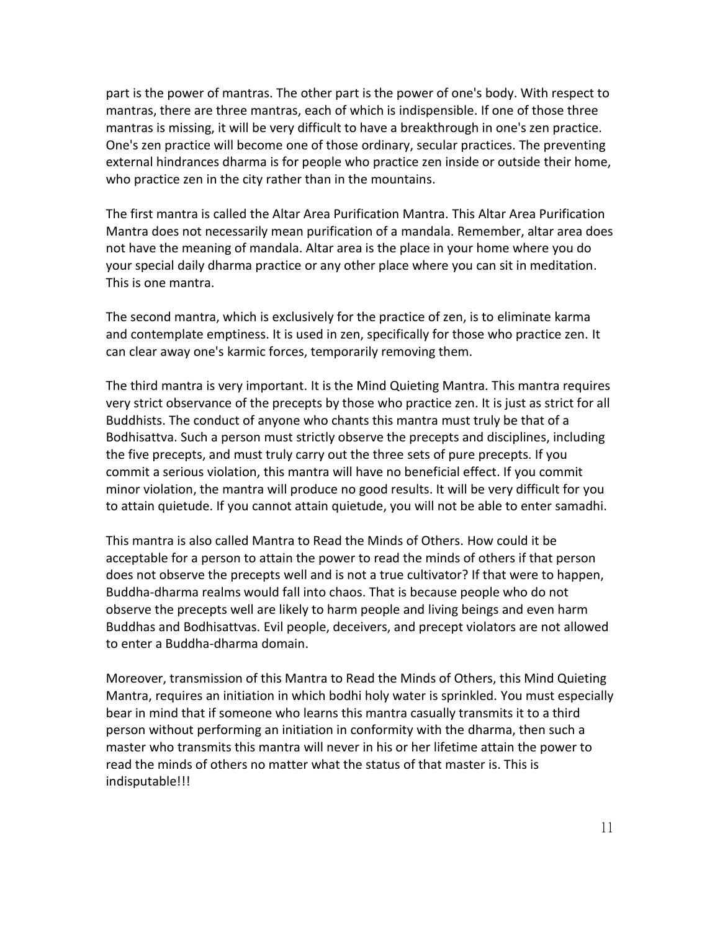part is the power of mantras. The other part is the power of one's body. With respect to mantras, there are three mantras, each of which is indispensible. If one of those three mantras is missing, it will be very difficult to have a breakthrough in one's zen practice. One's zen practice will become one of those ordinary, secular practices. The preventing external hindrances dharma is for people who practice zen inside or outside their home, who practice zen in the city rather than in the mountains.

The first mantra is called the Altar Area Purification Mantra. This Altar Area Purification Mantra does not necessarily mean purification of a mandala. Remember, altar area does not have the meaning of mandala. Altar area is the place in your home where you do your special daily dharma practice or any other place where you can sit in meditation. This is one mantra.

The second mantra, which is exclusively for the practice of zen, is to eliminate karma and contemplate emptiness. It is used in zen, specifically for those who practice zen. It can clear away one's karmic forces, temporarily removing them.

The third mantra is very important. It is the Mind Quieting Mantra. This mantra requires very strict observance of the precepts by those who practice zen. It is just as strict for all Buddhists. The conduct of anyone who chants this mantra must truly be that of a Bodhisattva. Such a person must strictly observe the precepts and disciplines, including the five precepts, and must truly carry out the three sets of pure precepts. If you commit a serious violation, this mantra will have no beneficial effect. If you commit minor violation, the mantra will produce no good results. It will be very difficult for you to attain quietude. If you cannot attain quietude, you will not be able to enter samadhi.

This mantra is also called Mantra to Read the Minds of Others. How could it be acceptable for a person to attain the power to read the minds of others if that person does not observe the precepts well and is not a true cultivator? If that were to happen, Buddha-dharma realms would fall into chaos. That is because people who do not observe the precepts well are likely to harm people and living beings and even harm Buddhas and Bodhisattvas. Evil people, deceivers, and precept violators are not allowed to enter a Buddha-dharma domain.

Moreover, transmission of this Mantra to Read the Minds of Others, this Mind Quieting Mantra, requires an initiation in which bodhi holy water is sprinkled. You must especially bear in mind that if someone who learns this mantra casually transmits it to a third person without performing an initiation in conformity with the dharma, then such a master who transmits this mantra will never in his or her lifetime attain the power to read the minds of others no matter what the status of that master is. This is indisputable!!!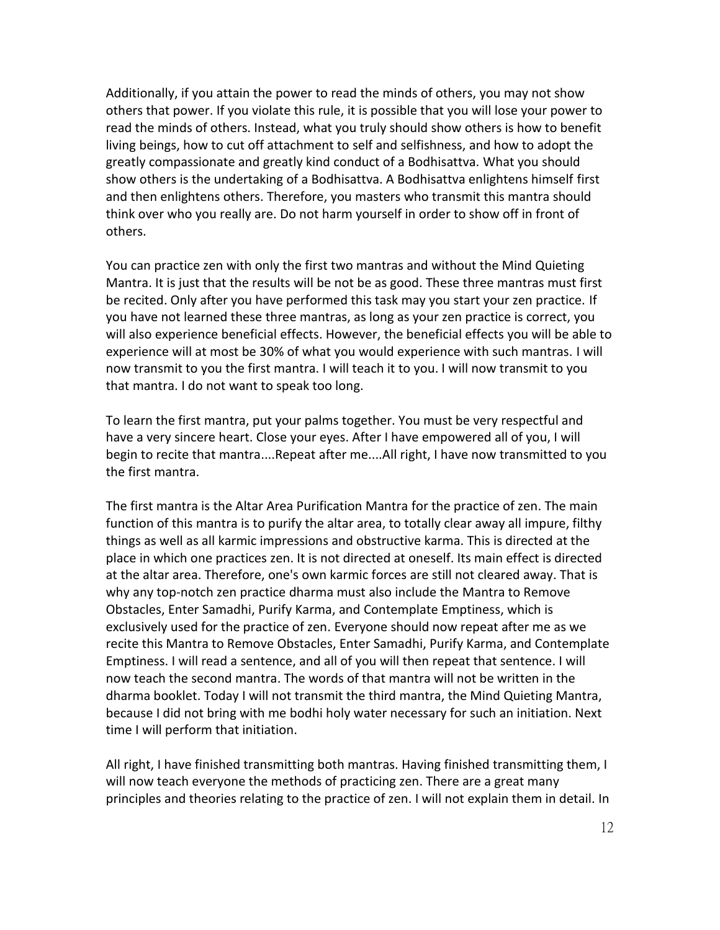Additionally, if you attain the power to read the minds of others, you may not show others that power. If you violate this rule, it is possible that you will lose your power to read the minds of others. Instead, what you truly should show others is how to benefit living beings, how to cut off attachment to self and selfishness, and how to adopt the greatly compassionate and greatly kind conduct of a Bodhisattva. What you should show others is the undertaking of a Bodhisattva. A Bodhisattva enlightens himself first and then enlightens others. Therefore, you masters who transmit this mantra should think over who you really are. Do not harm yourself in order to show off in front of others.

You can practice zen with only the first two mantras and without the Mind Quieting Mantra. It is just that the results will be not be as good. These three mantras must first be recited. Only after you have performed this task may you start your zen practice. If you have not learned these three mantras, as long as your zen practice is correct, you will also experience beneficial effects. However, the beneficial effects you will be able to experience will at most be 30% of what you would experience with such mantras. I will now transmit to you the first mantra. I will teach it to you. I will now transmit to you that mantra. I do not want to speak too long.

To learn the first mantra, put your palms together. You must be very respectful and have a very sincere heart. Close your eyes. After I have empowered all of you, I will begin to recite that mantra....Repeat after me....All right, I have now transmitted to you the first mantra.

The first mantra is the Altar Area Purification Mantra for the practice of zen. The main function of this mantra is to purify the altar area, to totally clear away all impure, filthy things as well as all karmic impressions and obstructive karma. This is directed at the place in which one practices zen. It is not directed at oneself. Its main effect is directed at the altar area. Therefore, one's own karmic forces are still not cleared away. That is why any top-notch zen practice dharma must also include the Mantra to Remove Obstacles, Enter Samadhi, Purify Karma, and Contemplate Emptiness, which is exclusively used for the practice of zen. Everyone should now repeat after me as we recite this Mantra to Remove Obstacles, Enter Samadhi, Purify Karma, and Contemplate Emptiness. I will read a sentence, and all of you will then repeat that sentence. I will now teach the second mantra. The words of that mantra will not be written in the dharma booklet. Today I will not transmit the third mantra, the Mind Quieting Mantra, because I did not bring with me bodhi holy water necessary for such an initiation. Next time I will perform that initiation.

All right, I have finished transmitting both mantras. Having finished transmitting them, I will now teach everyone the methods of practicing zen. There are a great many principles and theories relating to the practice of zen. I will not explain them in detail. In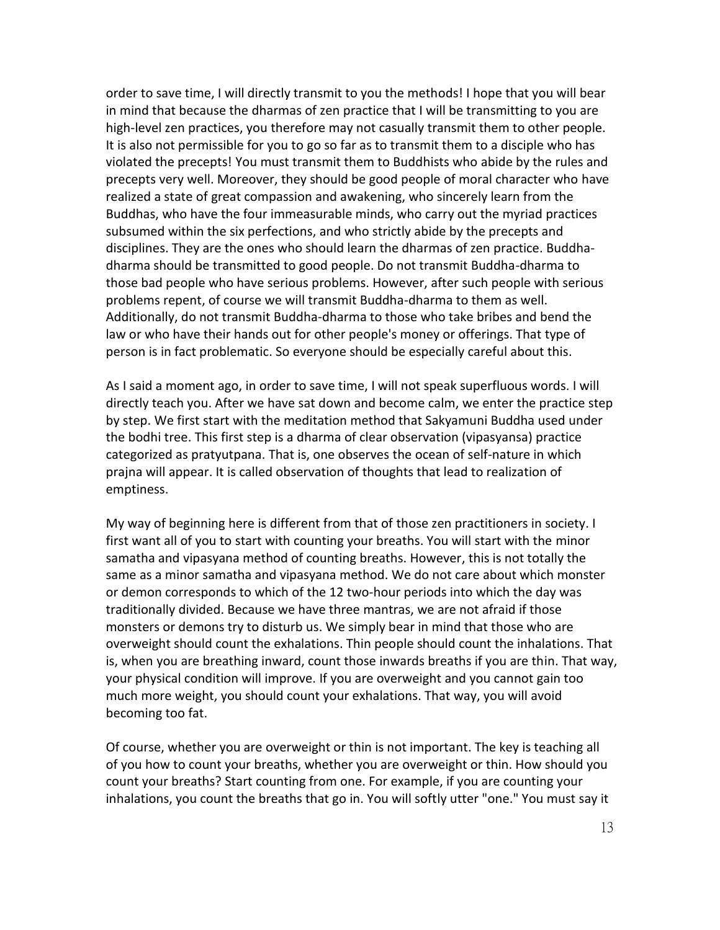order to save time, I will directly transmit to you the methods! I hope that you will bear in mind that because the dharmas of zen practice that I will be transmitting to you are high-level zen practices, you therefore may not casually transmit them to other people. It is also not permissible for you to go so far as to transmit them to a disciple who has violated the precepts! You must transmit them to Buddhists who abide by the rules and precepts very well. Moreover, they should be good people of moral character who have realized a state of great compassion and awakening, who sincerely learn from the Buddhas, who have the four immeasurable minds, who carry out the myriad practices subsumed within the six perfections, and who strictly abide by the precepts and disciplines. They are the ones who should learn the dharmas of zen practice. Buddhadharma should be transmitted to good people. Do not transmit Buddha-dharma to those bad people who have serious problems. However, after such people with serious problems repent, of course we will transmit Buddha-dharma to them as well. Additionally, do not transmit Buddha-dharma to those who take bribes and bend the law or who have their hands out for other people's money or offerings. That type of person is in fact problematic. So everyone should be especially careful about this.

As I said a moment ago, in order to save time, I will not speak superfluous words. I will directly teach you. After we have sat down and become calm, we enter the practice step by step. We first start with the meditation method that Sakyamuni Buddha used under the bodhi tree. This first step is a dharma of clear observation (vipasyansa) practice categorized as pratyutpana. That is, one observes the ocean of self-nature in which prajna will appear. It is called observation of thoughts that lead to realization of emptiness.

My way of beginning here is different from that of those zen practitioners in society. I first want all of you to start with counting your breaths. You will start with the minor samatha and vipasyana method of counting breaths. However, this is not totally the same as a minor samatha and vipasyana method. We do not care about which monster or demon corresponds to which of the 12 two-hour periods into which the day was traditionally divided. Because we have three mantras, we are not afraid if those monsters or demons try to disturb us. We simply bear in mind that those who are overweight should count the exhalations. Thin people should count the inhalations. That is, when you are breathing inward, count those inwards breaths if you are thin. That way, your physical condition will improve. If you are overweight and you cannot gain too much more weight, you should count your exhalations. That way, you will avoid becoming too fat.

Of course, whether you are overweight or thin is not important. The key is teaching all of you how to count your breaths, whether you are overweight or thin. How should you count your breaths? Start counting from one. For example, if you are counting your inhalations, you count the breaths that go in. You will softly utter "one." You must say it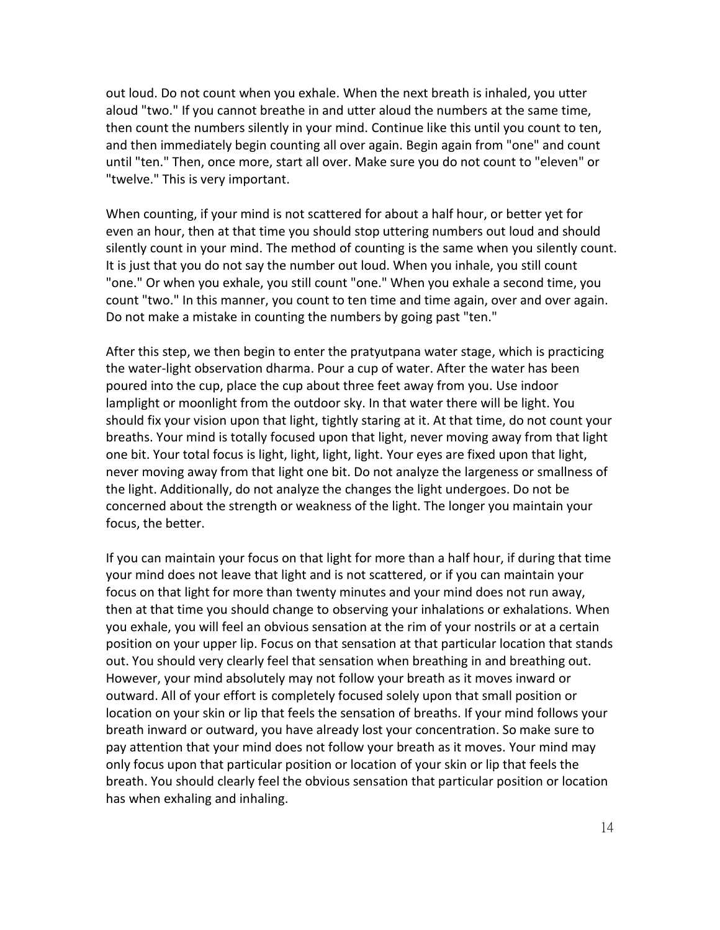out loud. Do not count when you exhale. When the next breath is inhaled, you utter aloud "two." If you cannot breathe in and utter aloud the numbers at the same time, then count the numbers silently in your mind. Continue like this until you count to ten, and then immediately begin counting all over again. Begin again from "one" and count until "ten." Then, once more, start all over. Make sure you do not count to "eleven" or "twelve." This is very important.

When counting, if your mind is not scattered for about a half hour, or better yet for even an hour, then at that time you should stop uttering numbers out loud and should silently count in your mind. The method of counting is the same when you silently count. It is just that you do not say the number out loud. When you inhale, you still count "one." Or when you exhale, you still count "one." When you exhale a second time, you count "two." In this manner, you count to ten time and time again, over and over again. Do not make a mistake in counting the numbers by going past "ten."

After this step, we then begin to enter the pratyutpana water stage, which is practicing the water-light observation dharma. Pour a cup of water. After the water has been poured into the cup, place the cup about three feet away from you. Use indoor lamplight or moonlight from the outdoor sky. In that water there will be light. You should fix your vision upon that light, tightly staring at it. At that time, do not count your breaths. Your mind is totally focused upon that light, never moving away from that light one bit. Your total focus is light, light, light, light. Your eyes are fixed upon that light, never moving away from that light one bit. Do not analyze the largeness or smallness of the light. Additionally, do not analyze the changes the light undergoes. Do not be concerned about the strength or weakness of the light. The longer you maintain your focus, the better.

If you can maintain your focus on that light for more than a half hour, if during that time your mind does not leave that light and is not scattered, or if you can maintain your focus on that light for more than twenty minutes and your mind does not run away, then at that time you should change to observing your inhalations or exhalations. When you exhale, you will feel an obvious sensation at the rim of your nostrils or at a certain position on your upper lip. Focus on that sensation at that particular location that stands out. You should very clearly feel that sensation when breathing in and breathing out. However, your mind absolutely may not follow your breath as it moves inward or outward. All of your effort is completely focused solely upon that small position or location on your skin or lip that feels the sensation of breaths. If your mind follows your breath inward or outward, you have already lost your concentration. So make sure to pay attention that your mind does not follow your breath as it moves. Your mind may only focus upon that particular position or location of your skin or lip that feels the breath. You should clearly feel the obvious sensation that particular position or location has when exhaling and inhaling.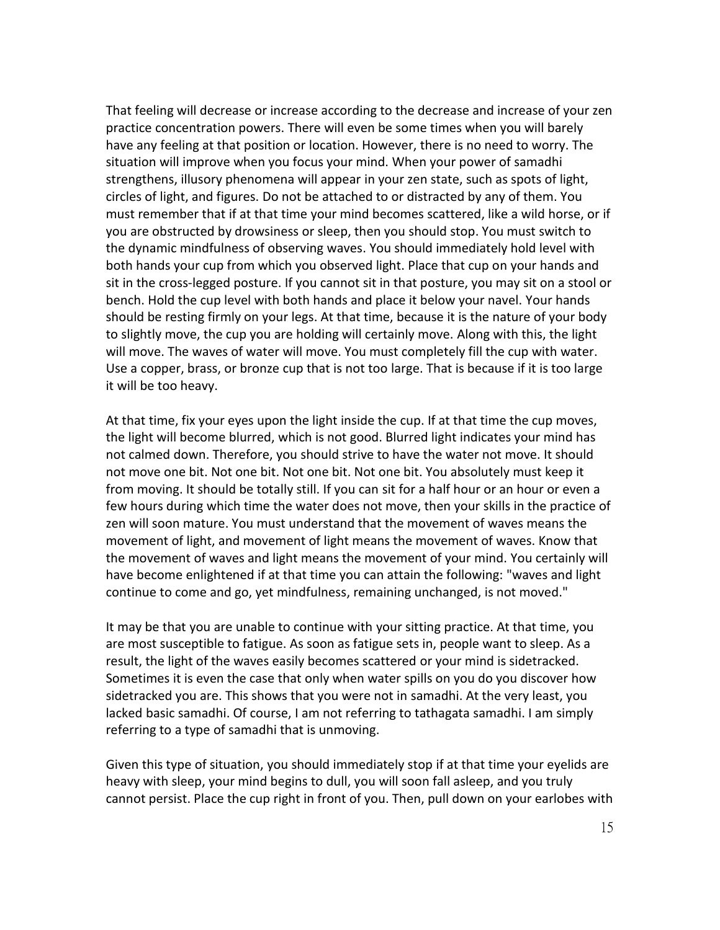That feeling will decrease or increase according to the decrease and increase of your zen practice concentration powers. There will even be some times when you will barely have any feeling at that position or location. However, there is no need to worry. The situation will improve when you focus your mind. When your power of samadhi strengthens, illusory phenomena will appear in your zen state, such as spots of light, circles of light, and figures. Do not be attached to or distracted by any of them. You must remember that if at that time your mind becomes scattered, like a wild horse, or if you are obstructed by drowsiness or sleep, then you should stop. You must switch to the dynamic mindfulness of observing waves. You should immediately hold level with both hands your cup from which you observed light. Place that cup on your hands and sit in the cross-legged posture. If you cannot sit in that posture, you may sit on a stool or bench. Hold the cup level with both hands and place it below your navel. Your hands should be resting firmly on your legs. At that time, because it is the nature of your body to slightly move, the cup you are holding will certainly move. Along with this, the light will move. The waves of water will move. You must completely fill the cup with water. Use a copper, brass, or bronze cup that is not too large. That is because if it is too large it will be too heavy.

At that time, fix your eyes upon the light inside the cup. If at that time the cup moves, the light will become blurred, which is not good. Blurred light indicates your mind has not calmed down. Therefore, you should strive to have the water not move. It should not move one bit. Not one bit. Not one bit. Not one bit. You absolutely must keep it from moving. It should be totally still. If you can sit for a half hour or an hour or even a few hours during which time the water does not move, then your skills in the practice of zen will soon mature. You must understand that the movement of waves means the movement of light, and movement of light means the movement of waves. Know that the movement of waves and light means the movement of your mind. You certainly will have become enlightened if at that time you can attain the following: "waves and light continue to come and go, yet mindfulness, remaining unchanged, is not moved."

It may be that you are unable to continue with your sitting practice. At that time, you are most susceptible to fatigue. As soon as fatigue sets in, people want to sleep. As a result, the light of the waves easily becomes scattered or your mind is sidetracked. Sometimes it is even the case that only when water spills on you do you discover how sidetracked you are. This shows that you were not in samadhi. At the very least, you lacked basic samadhi. Of course, I am not referring to tathagata samadhi. I am simply referring to a type of samadhi that is unmoving.

Given this type of situation, you should immediately stop if at that time your eyelids are heavy with sleep, your mind begins to dull, you will soon fall asleep, and you truly cannot persist. Place the cup right in front of you. Then, pull down on your earlobes with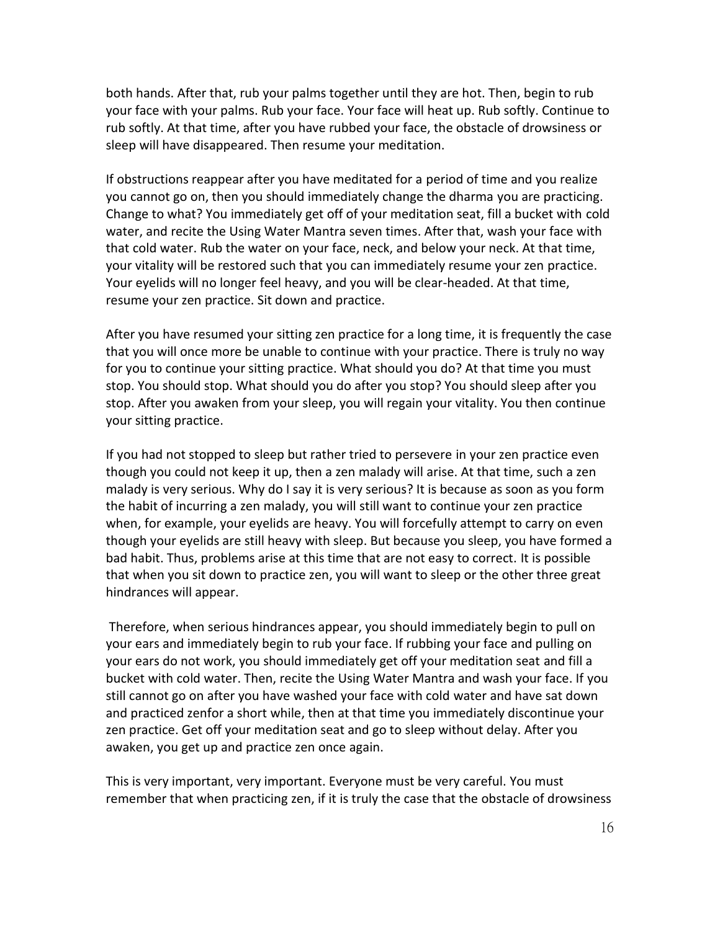both hands. After that, rub your palms together until they are hot. Then, begin to rub your face with your palms. Rub your face. Your face will heat up. Rub softly. Continue to rub softly. At that time, after you have rubbed your face, the obstacle of drowsiness or sleep will have disappeared. Then resume your meditation.

If obstructions reappear after you have meditated for a period of time and you realize you cannot go on, then you should immediately change the dharma you are practicing. Change to what? You immediately get off of your meditation seat, fill a bucket with cold water, and recite the Using Water Mantra seven times. After that, wash your face with that cold water. Rub the water on your face, neck, and below your neck. At that time, your vitality will be restored such that you can immediately resume your zen practice. Your eyelids will no longer feel heavy, and you will be clear-headed. At that time, resume your zen practice. Sit down and practice.

After you have resumed your sitting zen practice for a long time, it is frequently the case that you will once more be unable to continue with your practice. There is truly no way for you to continue your sitting practice. What should you do? At that time you must stop. You should stop. What should you do after you stop? You should sleep after you stop. After you awaken from your sleep, you will regain your vitality. You then continue your sitting practice.

If you had not stopped to sleep but rather tried to persevere in your zen practice even though you could not keep it up, then a zen malady will arise. At that time, such a zen malady is very serious. Why do I say it is very serious? It is because as soon as you form the habit of incurring a zen malady, you will still want to continue your zen practice when, for example, your eyelids are heavy. You will forcefully attempt to carry on even though your eyelids are still heavy with sleep. But because you sleep, you have formed a bad habit. Thus, problems arise at this time that are not easy to correct. It is possible that when you sit down to practice zen, you will want to sleep or the other three great hindrances will appear.

Therefore, when serious hindrances appear, you should immediately begin to pull on your ears and immediately begin to rub your face. If rubbing your face and pulling on your ears do not work, you should immediately get off your meditation seat and fill a bucket with cold water. Then, recite the Using Water Mantra and wash your face. If you still cannot go on after you have washed your face with cold water and have sat down and practiced zenfor a short while, then at that time you immediately discontinue your zen practice. Get off your meditation seat and go to sleep without delay. After you awaken, you get up and practice zen once again.

This is very important, very important. Everyone must be very careful. You must remember that when practicing zen, if it is truly the case that the obstacle of drowsiness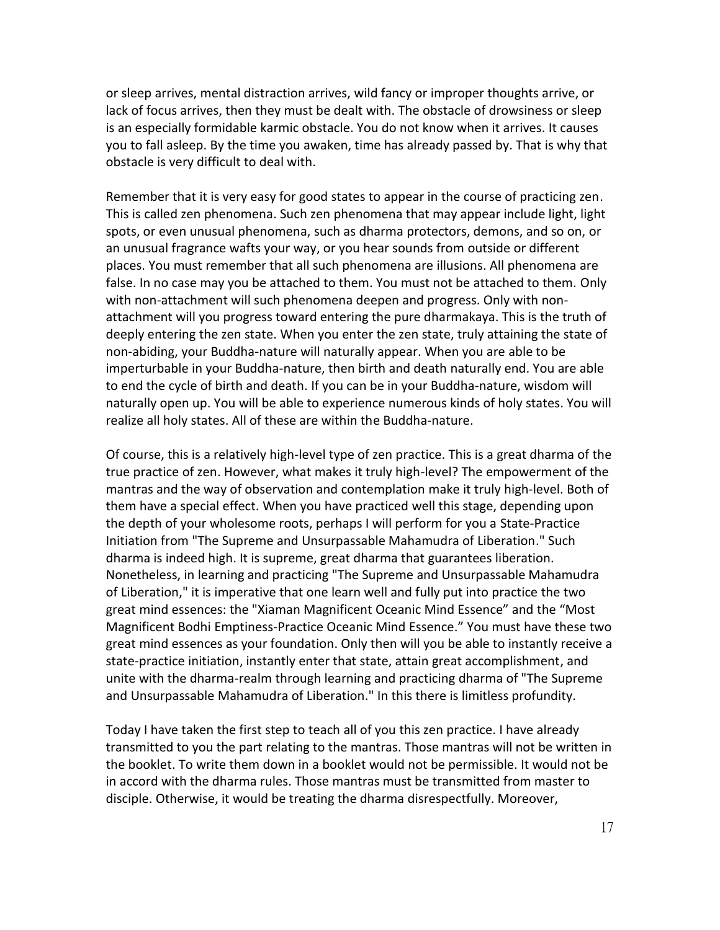or sleep arrives, mental distraction arrives, wild fancy or improper thoughts arrive, or lack of focus arrives, then they must be dealt with. The obstacle of drowsiness or sleep is an especially formidable karmic obstacle. You do not know when it arrives. It causes you to fall asleep. By the time you awaken, time has already passed by. That is why that obstacle is very difficult to deal with.

Remember that it is very easy for good states to appear in the course of practicing zen. This is called zen phenomena. Such zen phenomena that may appear include light, light spots, or even unusual phenomena, such as dharma protectors, demons, and so on, or an unusual fragrance wafts your way, or you hear sounds from outside or different places. You must remember that all such phenomena are illusions. All phenomena are false. In no case may you be attached to them. You must not be attached to them. Only with non-attachment will such phenomena deepen and progress. Only with nonattachment will you progress toward entering the pure dharmakaya. This is the truth of deeply entering the zen state. When you enter the zen state, truly attaining the state of non-abiding, your Buddha-nature will naturally appear. When you are able to be imperturbable in your Buddha-nature, then birth and death naturally end. You are able to end the cycle of birth and death. If you can be in your Buddha-nature, wisdom will naturally open up. You will be able to experience numerous kinds of holy states. You will realize all holy states. All of these are within the Buddha-nature.

Of course, this is a relatively high-level type of zen practice. This is a great dharma of the true practice of zen. However, what makes it truly high-level? The empowerment of the mantras and the way of observation and contemplation make it truly high-level. Both of them have a special effect. When you have practiced well this stage, depending upon the depth of your wholesome roots, perhaps I will perform for you a State-Practice Initiation from "The Supreme and Unsurpassable Mahamudra of Liberation." Such dharma is indeed high. It is supreme, great dharma that guarantees liberation. Nonetheless, in learning and practicing "The Supreme and Unsurpassable Mahamudra of Liberation," it is imperative that one learn well and fully put into practice the two great mind essences: the "Xiaman Magnificent Oceanic Mind Essence" and the "Most Magnificent Bodhi Emptiness-Practice Oceanic Mind Essence." You must have these two great mind essences as your foundation. Only then will you be able to instantly receive a state-practice initiation, instantly enter that state, attain great accomplishment, and unite with the dharma-realm through learning and practicing dharma of "The Supreme and Unsurpassable Mahamudra of Liberation." In this there is limitless profundity.

Today I have taken the first step to teach all of you this zen practice. I have already transmitted to you the part relating to the mantras. Those mantras will not be written in the booklet. To write them down in a booklet would not be permissible. It would not be in accord with the dharma rules. Those mantras must be transmitted from master to disciple. Otherwise, it would be treating the dharma disrespectfully. Moreover,